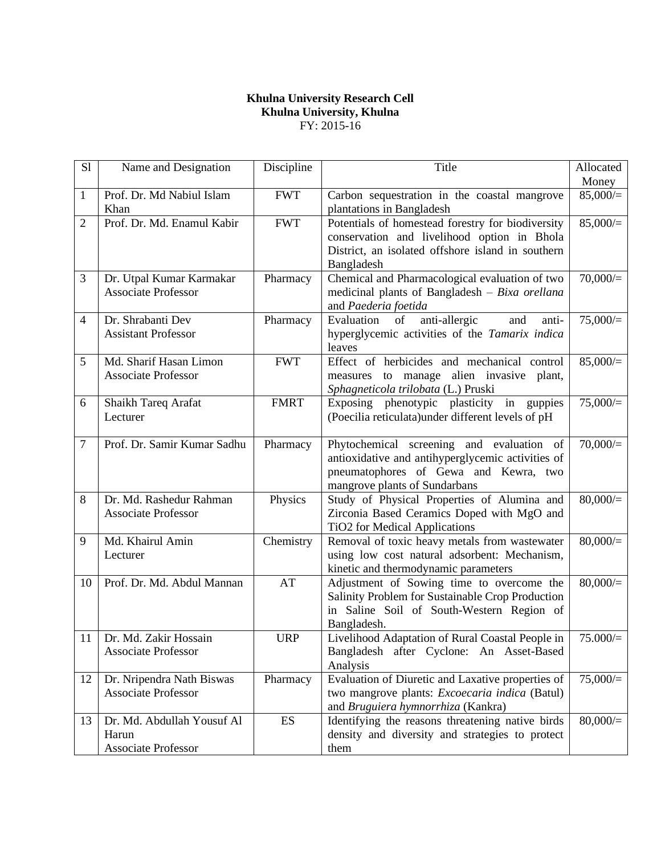## **Khulna University Research Cell Khulna University, Khulna** FY: 2015-16

| S1             | Name and Designation                                              | Discipline  | Title                                                                                                                                                                    | Allocated<br>Money |
|----------------|-------------------------------------------------------------------|-------------|--------------------------------------------------------------------------------------------------------------------------------------------------------------------------|--------------------|
| 1              | Prof. Dr. Md Nabiul Islam<br>Khan                                 | <b>FWT</b>  | Carbon sequestration in the coastal mangrove<br>plantations in Bangladesh                                                                                                | 85,000/            |
| $\overline{2}$ | Prof. Dr. Md. Enamul Kabir                                        | <b>FWT</b>  | Potentials of homestead forestry for biodiversity<br>conservation and livelihood option in Bhola<br>District, an isolated offshore island in southern<br>Bangladesh      | 85,000/            |
| 3              | Dr. Utpal Kumar Karmakar<br><b>Associate Professor</b>            | Pharmacy    | Chemical and Pharmacological evaluation of two<br>medicinal plants of Bangladesh $- Bixa$ orelland<br>and Paederia foetida                                               | 70,000/            |
| $\overline{4}$ | Dr. Shrabanti Dev<br><b>Assistant Professor</b>                   | Pharmacy    | anti-allergic<br>Evaluation<br>of<br>and<br>anti-<br>hyperglycemic activities of the Tamarix indica<br>leaves                                                            | $75,000 =$         |
| 5              | Md. Sharif Hasan Limon<br><b>Associate Professor</b>              | <b>FWT</b>  | Effect of herbicides and mechanical control<br>measures to manage alien invasive plant,<br>Sphagneticola trilobata (L.) Pruski                                           | $85,000 =$         |
| 6              | Shaikh Tareq Arafat<br>Lecturer                                   | <b>FMRT</b> | Exposing phenotypic plasticity in guppies<br>(Poecilia reticulata) under different levels of pH                                                                          | 75,000/            |
| $\overline{7}$ | Prof. Dr. Samir Kumar Sadhu                                       | Pharmacy    | Phytochemical screening and evaluation of<br>antioxidative and antihyperglycemic activities of<br>pneumatophores of Gewa and Kewra, two<br>mangrove plants of Sundarbans | 70,000/            |
| 8              | Dr. Md. Rashedur Rahman<br><b>Associate Professor</b>             | Physics     | Study of Physical Properties of Alumina and<br>Zirconia Based Ceramics Doped with MgO and<br>TiO2 for Medical Applications                                               | 80,000/            |
| 9              | Md. Khairul Amin<br>Lecturer                                      | Chemistry   | Removal of toxic heavy metals from wastewater<br>using low cost natural adsorbent: Mechanism,<br>kinetic and thermodynamic parameters                                    | 80,000/            |
| 10             | Prof. Dr. Md. Abdul Mannan                                        | AT          | Adjustment of Sowing time to overcome the<br>Salinity Problem for Sustainable Crop Production<br>in Saline Soil of South-Western Region of<br>Bangladesh.                | 80,000/            |
| 11             | Dr. Md. Zakir Hossain<br><b>Associate Professor</b>               | <b>URP</b>  | Livelihood Adaptation of Rural Coastal People in<br>Bangladesh after Cyclone: An Asset-Based<br>Analysis                                                                 | $75.000 =$         |
| 12             | Dr. Nripendra Nath Biswas<br><b>Associate Professor</b>           | Pharmacy    | Evaluation of Diuretic and Laxative properties of<br>two mangrove plants: Excoecaria indica (Batul)<br>and Bruguiera hymnorrhiza (Kankra)                                | $75,000 =$         |
| 13             | Dr. Md. Abdullah Yousuf Al<br>Harun<br><b>Associate Professor</b> | <b>ES</b>   | Identifying the reasons threatening native birds<br>density and diversity and strategies to protect<br>them                                                              | 80,000/            |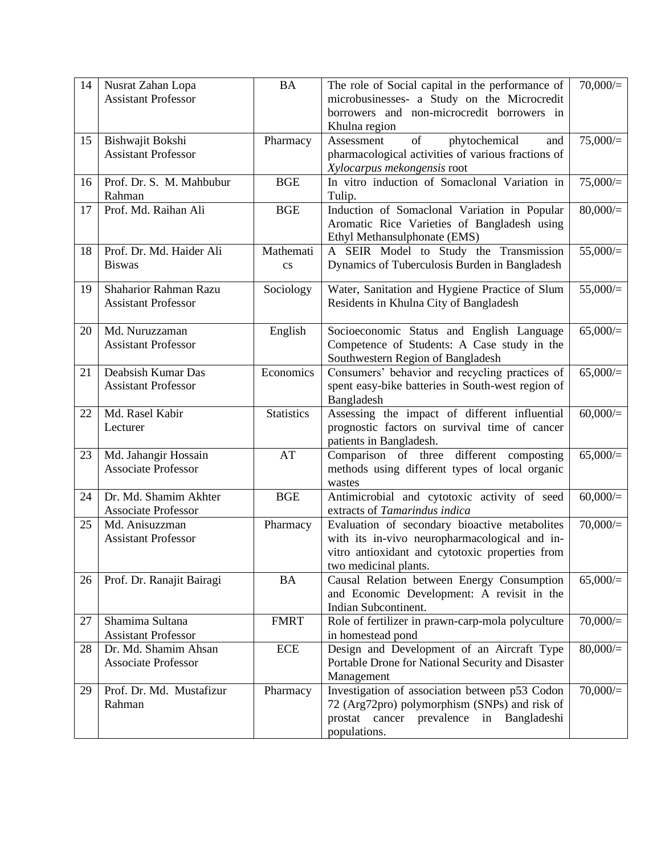| 14 | Nusrat Zahan Lopa<br><b>Assistant Professor</b>     | <b>BA</b>                           | The role of Social capital in the performance of<br>microbusinesses- a Study on the Microcredit<br>borrowers and non-microcredit borrowers in<br>Khulna region             | 70,000/     |
|----|-----------------------------------------------------|-------------------------------------|----------------------------------------------------------------------------------------------------------------------------------------------------------------------------|-------------|
| 15 | Bishwajit Bokshi<br><b>Assistant Professor</b>      | Pharmacy                            | of<br>phytochemical<br>Assessment<br>and<br>pharmacological activities of various fractions of<br>Xylocarpus mekongensis root                                              | 75,000/     |
| 16 | Prof. Dr. S. M. Mahbubur<br>Rahman                  | <b>BGE</b>                          | In vitro induction of Somaclonal Variation in<br>Tulip.                                                                                                                    | $75,000 =$  |
| 17 | Prof. Md. Raihan Ali                                | <b>BGE</b>                          | Induction of Somaclonal Variation in Popular<br>Aromatic Rice Varieties of Bangladesh using<br>Ethyl Methansulphonate (EMS)                                                | $80,000/$ = |
| 18 | Prof. Dr. Md. Haider Ali<br><b>Biswas</b>           | Mathemati<br>$\mathbf{c}\mathbf{s}$ | A SEIR Model to Study the Transmission<br>Dynamics of Tuberculosis Burden in Bangladesh                                                                                    | 55,000/     |
| 19 | Shaharior Rahman Razu<br><b>Assistant Professor</b> | Sociology                           | Water, Sanitation and Hygiene Practice of Slum<br>Residents in Khulna City of Bangladesh                                                                                   | 55,000/     |
| 20 | Md. Nuruzzaman<br><b>Assistant Professor</b>        | English                             | Socioeconomic Status and English Language<br>Competence of Students: A Case study in the<br>Southwestern Region of Bangladesh                                              | 65,000/     |
| 21 | Deabsish Kumar Das<br><b>Assistant Professor</b>    | Economics                           | Consumers' behavior and recycling practices of<br>spent easy-bike batteries in South-west region of<br>Bangladesh                                                          | $65,000 =$  |
| 22 | Md. Rasel Kabir<br>Lecturer                         | <b>Statistics</b>                   | Assessing the impact of different influential<br>prognostic factors on survival time of cancer<br>patients in Bangladesh.                                                  | 60,000/     |
| 23 | Md. Jahangir Hossain<br><b>Associate Professor</b>  | AT                                  | Comparison of three different composting<br>methods using different types of local organic<br>wastes                                                                       | $65,000 =$  |
| 24 | Dr. Md. Shamim Akhter<br><b>Associate Professor</b> | <b>BGE</b>                          | Antimicrobial and cytotoxic activity of seed<br>extracts of Tamarindus indica                                                                                              | 60,000/     |
| 25 | Md. Anisuzzman<br><b>Assistant Professor</b>        | Pharmacy                            | Evaluation of secondary bioactive metabolites<br>with its in-vivo neuropharmacological and in-<br>vitro antioxidant and cytotoxic properties from<br>two medicinal plants. | 70,000/     |
| 26 | Prof. Dr. Ranajit Bairagi                           | <b>BA</b>                           | Causal Relation between Energy Consumption<br>and Economic Development: A revisit in the<br>Indian Subcontinent.                                                           | $65,000/=$  |
| 27 | Shamima Sultana<br><b>Assistant Professor</b>       | <b>FMRT</b>                         | Role of fertilizer in prawn-carp-mola polyculture<br>in homestead pond                                                                                                     | 70,000/     |
| 28 | Dr. Md. Shamim Ahsan<br><b>Associate Professor</b>  | <b>ECE</b>                          | Design and Development of an Aircraft Type<br>Portable Drone for National Security and Disaster<br>Management                                                              | 80,000/     |
| 29 | Prof. Dr. Md. Mustafizur<br>Rahman                  | Pharmacy                            | Investigation of association between p53 Codon<br>72 (Arg72pro) polymorphism (SNPs) and risk of<br>prostat cancer prevalence<br>in<br>Bangladeshi<br>populations.          | 70,000/     |